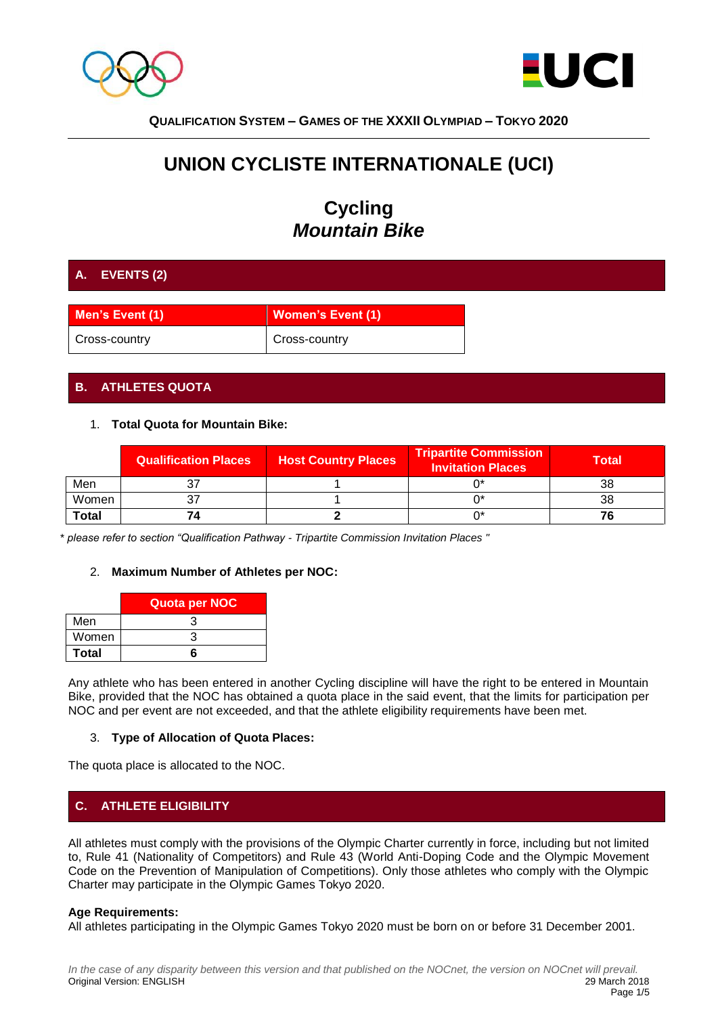



# **UNION CYCLISTE INTERNATIONALE (UCI)**

# **Cycling** *Mountain Bike*

## **A. EVENTS (2)**

| Men's Event (1) | <b>Women's Event (1)</b>   |
|-----------------|----------------------------|
| Cross-country   | <sup>1</sup> Cross-country |

## **B. ATHLETES QUOTA**

## 1. **Total Quota for Mountain Bike:**

|              | <b>Qualification Places</b> | <b>Host Country Places</b> | <b>Tripartite Commission</b><br><b>Invitation Places</b> | Total |
|--------------|-----------------------------|----------------------------|----------------------------------------------------------|-------|
| Men          |                             |                            |                                                          | 38    |
| Women        |                             |                            |                                                          | 38    |
| <b>Total</b> | Ζ,                          |                            |                                                          |       |

*\* please refer to section "Qualification Pathway - Tripartite Commission Invitation Places "*

## 2. **Maximum Number of Athletes per NOC:**

|              | Quota per NOC |
|--------------|---------------|
| Men          |               |
| Women        |               |
| <b>Total</b> |               |

Any athlete who has been entered in another Cycling discipline will have the right to be entered in Mountain Bike, provided that the NOC has obtained a quota place in the said event, that the limits for participation per NOC and per event are not exceeded, and that the athlete eligibility requirements have been met.

## 3. **Type of Allocation of Quota Places:**

The quota place is allocated to the NOC.

## **C. ATHLETE ELIGIBILITY**

All athletes must comply with the provisions of the Olympic Charter currently in force, including but not limited to, Rule 41 (Nationality of Competitors) and Rule 43 (World Anti-Doping Code and the Olympic Movement Code on the Prevention of Manipulation of Competitions). Only those athletes who comply with the Olympic Charter may participate in the Olympic Games Tokyo 2020.

## **Age Requirements:**

All athletes participating in the Olympic Games Tokyo 2020 must be born on or before 31 December 2001.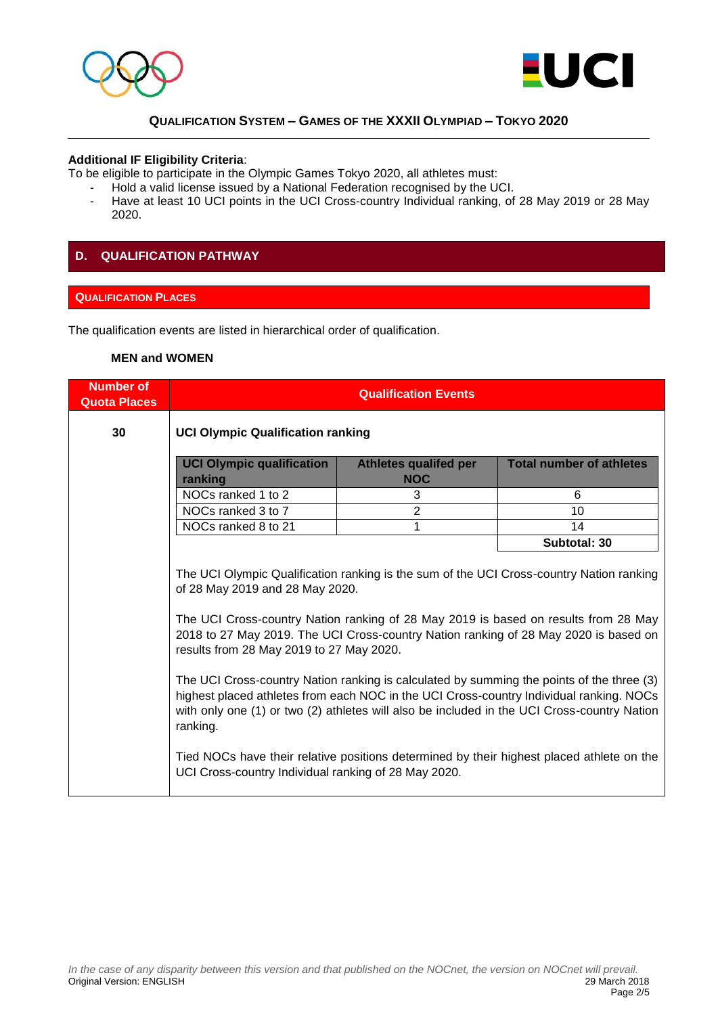



#### **Additional IF Eligibility Criteria**:

To be eligible to participate in the Olympic Games Tokyo 2020, all athletes must:

- Hold a valid license issued by a National Federation recognised by the UCI.
- Have at least 10 UCI points in the UCI Cross-country Individual ranking, of 28 May 2019 or 28 May 2020.

## **D. QUALIFICATION PATHWAY**

## **QUALIFICATION PLACES**

The qualification events are listed in hierarchical order of qualification.

#### **MEN and WOMEN**

| <b>Number of</b><br><b>Quota Places</b> | <b>Qualification Events</b>                                                                                                                                                                                                                                                                                                                            |                                            |                                                                                                                                                                                                                                                                                                                                                                                  |
|-----------------------------------------|--------------------------------------------------------------------------------------------------------------------------------------------------------------------------------------------------------------------------------------------------------------------------------------------------------------------------------------------------------|--------------------------------------------|----------------------------------------------------------------------------------------------------------------------------------------------------------------------------------------------------------------------------------------------------------------------------------------------------------------------------------------------------------------------------------|
| 30                                      | <b>UCI Olympic Qualification ranking</b>                                                                                                                                                                                                                                                                                                               |                                            |                                                                                                                                                                                                                                                                                                                                                                                  |
|                                         | <b>UCI Olympic qualification</b><br>ranking                                                                                                                                                                                                                                                                                                            | <b>Athletes qualifed per</b><br><b>NOC</b> | <b>Total number of athletes</b>                                                                                                                                                                                                                                                                                                                                                  |
|                                         | NOCs ranked 1 to 2                                                                                                                                                                                                                                                                                                                                     | 3                                          | 6                                                                                                                                                                                                                                                                                                                                                                                |
|                                         | NOCs ranked 3 to 7                                                                                                                                                                                                                                                                                                                                     | $\overline{2}$                             | 10                                                                                                                                                                                                                                                                                                                                                                               |
|                                         | NOCs ranked 8 to 21                                                                                                                                                                                                                                                                                                                                    | 1                                          | 14                                                                                                                                                                                                                                                                                                                                                                               |
|                                         |                                                                                                                                                                                                                                                                                                                                                        |                                            | Subtotal: 30                                                                                                                                                                                                                                                                                                                                                                     |
|                                         | The UCI Olympic Qualification ranking is the sum of the UCI Cross-country Nation ranking<br>of 28 May 2019 and 28 May 2020.<br>The UCI Cross-country Nation ranking of 28 May 2019 is based on results from 28 May<br>2018 to 27 May 2019. The UCI Cross-country Nation ranking of 28 May 2020 is based on<br>results from 28 May 2019 to 27 May 2020. |                                            |                                                                                                                                                                                                                                                                                                                                                                                  |
|                                         | ranking.<br>UCI Cross-country Individual ranking of 28 May 2020.                                                                                                                                                                                                                                                                                       |                                            | The UCI Cross-country Nation ranking is calculated by summing the points of the three (3)<br>highest placed athletes from each NOC in the UCI Cross-country Individual ranking. NOCs<br>with only one (1) or two (2) athletes will also be included in the UCI Cross-country Nation<br>Tied NOCs have their relative positions determined by their highest placed athlete on the |
|                                         |                                                                                                                                                                                                                                                                                                                                                        |                                            |                                                                                                                                                                                                                                                                                                                                                                                  |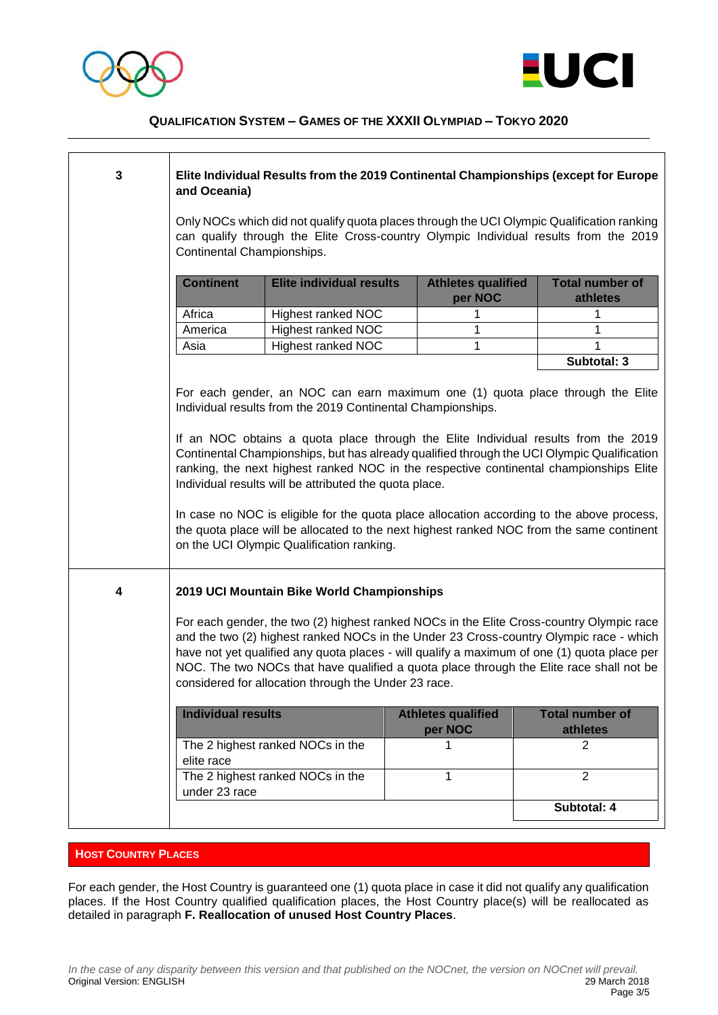



| 3 | Elite Individual Results from the 2019 Continental Championships (except for Europe<br>and Oceania)                                                                                                                                                                                                                                                                                                                                                                                                                                                                                                                                                                                                                         |                                  |                                      |                                    |
|---|-----------------------------------------------------------------------------------------------------------------------------------------------------------------------------------------------------------------------------------------------------------------------------------------------------------------------------------------------------------------------------------------------------------------------------------------------------------------------------------------------------------------------------------------------------------------------------------------------------------------------------------------------------------------------------------------------------------------------------|----------------------------------|--------------------------------------|------------------------------------|
|   | Only NOCs which did not qualify quota places through the UCI Olympic Qualification ranking<br>can qualify through the Elite Cross-country Olympic Individual results from the 2019<br>Continental Championships.                                                                                                                                                                                                                                                                                                                                                                                                                                                                                                            |                                  |                                      |                                    |
|   | <b>Continent</b>                                                                                                                                                                                                                                                                                                                                                                                                                                                                                                                                                                                                                                                                                                            | <b>Elite individual results</b>  | <b>Athletes qualified</b><br>per NOC | <b>Total number of</b><br>athletes |
|   | Africa                                                                                                                                                                                                                                                                                                                                                                                                                                                                                                                                                                                                                                                                                                                      | <b>Highest ranked NOC</b>        | 1                                    | 1                                  |
|   | America                                                                                                                                                                                                                                                                                                                                                                                                                                                                                                                                                                                                                                                                                                                     | <b>Highest ranked NOC</b>        | 1                                    | 1                                  |
|   | Asia                                                                                                                                                                                                                                                                                                                                                                                                                                                                                                                                                                                                                                                                                                                        | <b>Highest ranked NOC</b>        | 1                                    | 1                                  |
|   |                                                                                                                                                                                                                                                                                                                                                                                                                                                                                                                                                                                                                                                                                                                             |                                  |                                      | Subtotal: 3                        |
|   | For each gender, an NOC can earn maximum one (1) quota place through the Elite<br>Individual results from the 2019 Continental Championships.<br>If an NOC obtains a quota place through the Elite Individual results from the 2019<br>Continental Championships, but has already qualified through the UCI Olympic Qualification<br>ranking, the next highest ranked NOC in the respective continental championships Elite<br>Individual results will be attributed the quota place.<br>In case no NOC is eligible for the quota place allocation according to the above process,<br>the quota place will be allocated to the next highest ranked NOC from the same continent<br>on the UCI Olympic Qualification ranking. |                                  |                                      |                                    |
| 4 | 2019 UCI Mountain Bike World Championships<br>For each gender, the two (2) highest ranked NOCs in the Elite Cross-country Olympic race<br>and the two (2) highest ranked NOCs in the Under 23 Cross-country Olympic race - which<br>have not yet qualified any quota places - will qualify a maximum of one (1) quota place per<br>NOC. The two NOCs that have qualified a quota place through the Elite race shall not be<br>considered for allocation through the Under 23 race.                                                                                                                                                                                                                                          |                                  |                                      |                                    |
|   | <b>Individual results</b>                                                                                                                                                                                                                                                                                                                                                                                                                                                                                                                                                                                                                                                                                                   |                                  | <b>Athletes qualified</b><br>per NOC | <b>Total number of</b><br>athletes |
|   | elite race                                                                                                                                                                                                                                                                                                                                                                                                                                                                                                                                                                                                                                                                                                                  | The 2 highest ranked NOCs in the | 1                                    | 2                                  |
|   | under 23 race                                                                                                                                                                                                                                                                                                                                                                                                                                                                                                                                                                                                                                                                                                               | The 2 highest ranked NOCs in the | 1                                    | $\overline{2}$                     |
|   |                                                                                                                                                                                                                                                                                                                                                                                                                                                                                                                                                                                                                                                                                                                             |                                  |                                      | Subtotal: 4                        |

## **HOST COUNTRY PLACES**

For each gender, the Host Country is guaranteed one (1) quota place in case it did not qualify any qualification places. If the Host Country qualified qualification places, the Host Country place(s) will be reallocated as detailed in paragraph **F. Reallocation of unused Host Country Places**.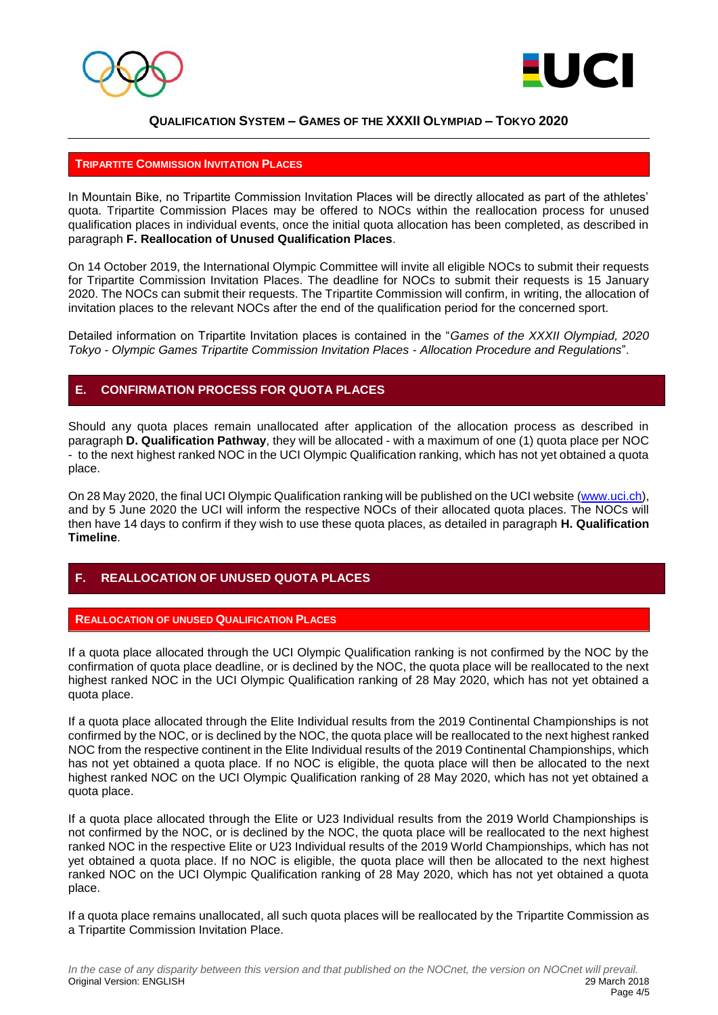



#### **TRIPARTITE COMMISSION INVITATION PLACES**

In Mountain Bike, no Tripartite Commission Invitation Places will be directly allocated as part of the athletes' quota. Tripartite Commission Places may be offered to NOCs within the reallocation process for unused qualification places in individual events, once the initial quota allocation has been completed, as described in paragraph **F. Reallocation of Unused Qualification Places**.

On 14 October 2019, the International Olympic Committee will invite all eligible NOCs to submit their requests for Tripartite Commission Invitation Places. The deadline for NOCs to submit their requests is 15 January 2020. The NOCs can submit their requests. The Tripartite Commission will confirm, in writing, the allocation of invitation places to the relevant NOCs after the end of the qualification period for the concerned sport.

Detailed information on Tripartite Invitation places is contained in the "*Games of the XXXII Olympiad, 2020 Tokyo - Olympic Games Tripartite Commission Invitation Places - Allocation Procedure and Regulations*".

## **E. CONFIRMATION PROCESS FOR QUOTA PLACES**

Should any quota places remain unallocated after application of the allocation process as described in paragraph **D. Qualification Pathway**, they will be allocated - with a maximum of one (1) quota place per NOC - to the next highest ranked NOC in the UCI Olympic Qualification ranking, which has not yet obtained a quota place.

On 28 May 2020, the final UCI Olympic Qualification ranking will be published on the UCI website [\(www.uci.ch\)](http://www.uci.ch/), and by 5 June 2020 the UCI will inform the respective NOCs of their allocated quota places. The NOCs will then have 14 days to confirm if they wish to use these quota places, as detailed in paragraph **H. Qualification Timeline**.

## **F. REALLOCATION OF UNUSED QUOTA PLACES**

## **REALLOCATION OF UNUSED QUALIFICATION PLACES**

If a quota place allocated through the UCI Olympic Qualification ranking is not confirmed by the NOC by the confirmation of quota place deadline, or is declined by the NOC, the quota place will be reallocated to the next highest ranked NOC in the UCI Olympic Qualification ranking of 28 May 2020, which has not yet obtained a quota place.

If a quota place allocated through the Elite Individual results from the 2019 Continental Championships is not confirmed by the NOC, or is declined by the NOC, the quota place will be reallocated to the next highest ranked NOC from the respective continent in the Elite Individual results of the 2019 Continental Championships, which has not yet obtained a quota place. If no NOC is eligible, the quota place will then be allocated to the next highest ranked NOC on the UCI Olympic Qualification ranking of 28 May 2020, which has not yet obtained a quota place.

If a quota place allocated through the Elite or U23 Individual results from the 2019 World Championships is not confirmed by the NOC, or is declined by the NOC, the quota place will be reallocated to the next highest ranked NOC in the respective Elite or U23 Individual results of the 2019 World Championships, which has not yet obtained a quota place. If no NOC is eligible, the quota place will then be allocated to the next highest ranked NOC on the UCI Olympic Qualification ranking of 28 May 2020, which has not yet obtained a quota place.

If a quota place remains unallocated, all such quota places will be reallocated by the Tripartite Commission as a Tripartite Commission Invitation Place.